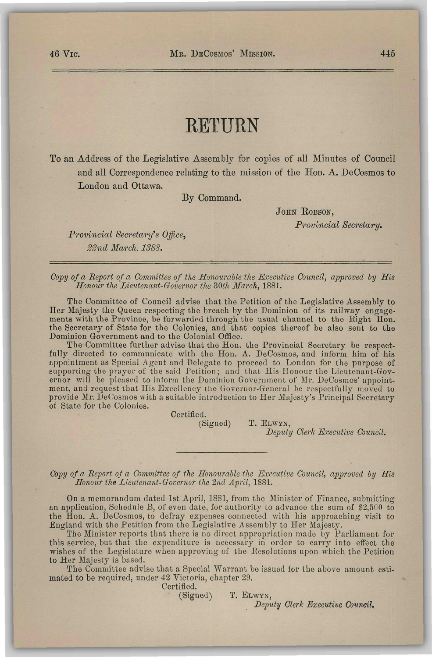## **RETURN**

To an Address of the Legislative Assembly for copies of all Minutes of Council and all Correspondence relating to the mission of the Hon. A. DeCosmos to London and Ottawa.

By Command.

JOHN ROBSON,

*Provincial Secretary.* 

*Provincial Secretary's Office, 2Zncl March. 1388.* 

*Copy of a Report of a Committee of the Honourable the Executive Council, approved by His Honour the Lieutenant-Governor the 30th March,* 1881.

The Committee of Council advise that the Petition of the Legislative Assembly to Her Majesty the Queen respecting the breach by the Dominion of its railway engagements with the Province, be forwarded through the usual channel to the Eight Hon. the Secretary of State for the Colonies, and that copies thereof be also sent to the Dominion Government and to the Colonial Office.

The Committee further advise that the Hon. the Provincial Secretary be respectfully directed to communicate with the Hon. A. DeCosmos, and inform him of his appointment as Special Agent and Delegate to proceed to London for the purpose of supporting the prayer of the said Petition; and that His Honour the Lieutenant-Governor will be pleased to inform the Dominion Government of Mr. DeCosmos' appointment, and request that His Excellency tho Governor-General be respectfully moved to provide Mr. DeCosmos with a suitable introduction to Her Majesty's Principal Secretary of State for the Colonies.

T. ELWYN,

Certified.<br>(Signed)

*Deputy Clerk Executive Council.* 

*Copy of a Report of a Committee of the Honourable the Executive Council, approved by His ILonour the Lieutenant-Governor the 2nd April,* 1881.

On a memorandum dated 1st April, 1881, from the Minister of Finance, submitting an application, Schedule B, of even date, for authority to advance the sum of \$2,500 to the Hon. A. DeCosmos, to defray expenses connected with his approaching visit to England with the Petition from the Legislative Assembly to Her Majesty.

The Minister reports that there is no direct appropriation made by Parliament for this service, but that the expenditure is necessary in order to carry into effect the wishes of the Legislature when approving of the Resolutions upon which the Petition to Her Majesty is based.

The Committee advise that a Special Warrant be issued for the above amount estimated to be required, under 42 Victoria, chapter 29.

Certified. (Signed) T. ELWYN,

*Deputy Clerk Executive Council,*